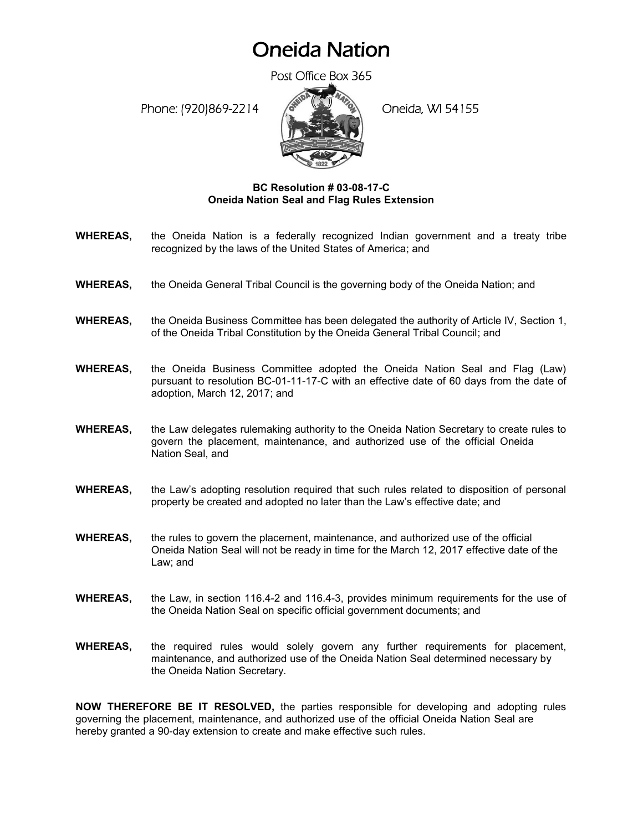## Oneida Nation

Post Office Box 365

Phone: (920)869-2214 (8 April 20 Oneida, WI 54155



## **BC Resolution # 03-08-17-C Oneida Nation Seal and Flag Rules Extension**

- **WHEREAS,** the Oneida Nation is a federally recognized Indian government and a treaty tribe recognized by the laws of the United States of America; and
- **WHEREAS,** the Oneida General Tribal Council is the governing body of the Oneida Nation; and
- **WHEREAS,** the Oneida Business Committee has been delegated the authority of Article IV, Section 1, of the Oneida Tribal Constitution by the Oneida General Tribal Council; and
- **WHEREAS,** the Oneida Business Committee adopted the Oneida Nation Seal and Flag (Law) pursuant to resolution BC-01-11-17-C with an effective date of 60 days from the date of adoption, March 12, 2017; and
- **WHEREAS,** the Law delegates rulemaking authority to the Oneida Nation Secretary to create rules to govern the placement, maintenance, and authorized use of the official Oneida Nation Seal, and
- **WHEREAS,** the Law's adopting resolution required that such rules related to disposition of personal property be created and adopted no later than the Law's effective date; and
- **WHEREAS,** the rules to govern the placement, maintenance, and authorized use of the official Oneida Nation Seal will not be ready in time for the March 12, 2017 effective date of the Law; and
- **WHEREAS,** the Law, in section 116.4-2 and 116.4-3, provides minimum requirements for the use of the Oneida Nation Seal on specific official government documents; and
- **WHEREAS,** the required rules would solely govern any further requirements for placement, maintenance, and authorized use of the Oneida Nation Seal determined necessary by the Oneida Nation Secretary.

**NOW THEREFORE BE IT RESOLVED,** the parties responsible for developing and adopting rules governing the placement, maintenance, and authorized use of the official Oneida Nation Seal are hereby granted a 90-day extension to create and make effective such rules.